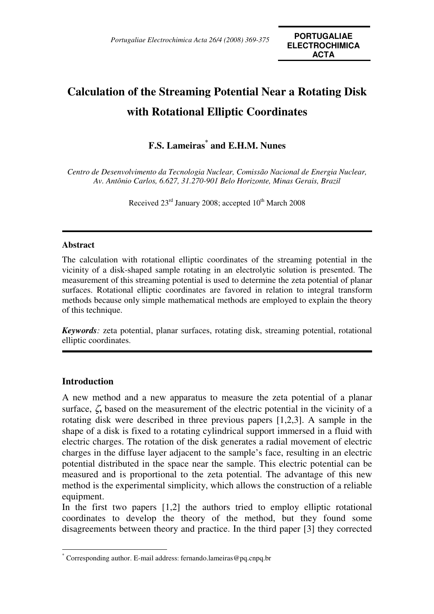# **Calculation of the Streaming Potential Near a Rotating Disk with Rotational Elliptic Coordinates**

## **F.S. Lameiras\* and E.H.M. Nunes**

*Centro de Desenvolvimento da Tecnologia Nuclear, Comissão Nacional de Energia Nuclear, Av. Antônio Carlos, 6.627, 31.270-901 Belo Horizonte, Minas Gerais, Brazil* 

Received  $23<sup>rd</sup>$  January 2008; accepted  $10<sup>th</sup>$  March 2008

## **Abstract**

The calculation with rotational elliptic coordinates of the streaming potential in the vicinity of a disk-shaped sample rotating in an electrolytic solution is presented. The measurement of this streaming potential is used to determine the zeta potential of planar surfaces. Rotational elliptic coordinates are favored in relation to integral transform methods because only simple mathematical methods are employed to explain the theory of this technique.

*Keywords:* zeta potential, planar surfaces, rotating disk, streaming potential, rotational elliptic coordinates.

## **Introduction**

 $\overline{a}$ 

A new method and a new apparatus to measure the zeta potential of a planar surface, ζ**,** based on the measurement of the electric potential in the vicinity of a rotating disk were described in three previous papers [1,2,3]. A sample in the shape of a disk is fixed to a rotating cylindrical support immersed in a fluid with electric charges. The rotation of the disk generates a radial movement of electric charges in the diffuse layer adjacent to the sample's face, resulting in an electric potential distributed in the space near the sample. This electric potential can be measured and is proportional to the zeta potential. The advantage of this new method is the experimental simplicity, which allows the construction of a reliable equipment.

In the first two papers [1,2] the authors tried to employ elliptic rotational coordinates to develop the theory of the method, but they found some disagreements between theory and practice. In the third paper [3] they corrected

<sup>\*</sup> Corresponding author. E-mail address: fernando.lameiras@pq.cnpq.br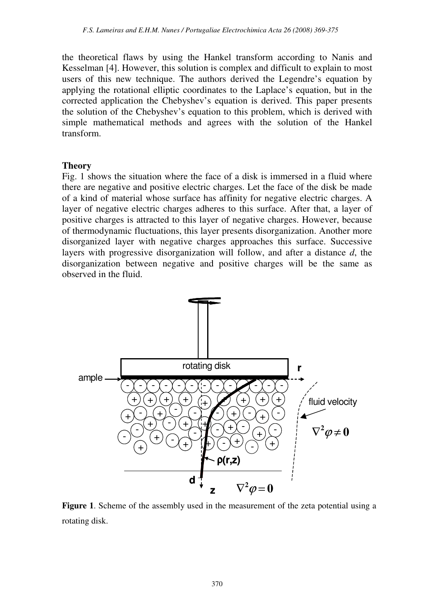the theoretical flaws by using the Hankel transform according to Nanis and Kesselman [4]. However, this solution is complex and difficult to explain to most users of this new technique. The authors derived the Legendre's equation by applying the rotational elliptic coordinates to the Laplace's equation, but in the corrected application the Chebyshev's equation is derived. This paper presents the solution of the Chebyshev's equation to this problem, which is derived with simple mathematical methods and agrees with the solution of the Hankel transform.

## **Theory**

Fig. 1 shows the situation where the face of a disk is immersed in a fluid where there are negative and positive electric charges. Let the face of the disk be made of a kind of material whose surface has affinity for negative electric charges. A layer of negative electric charges adheres to this surface. After that, a layer of positive charges is attracted to this layer of negative charges. However, because of thermodynamic fluctuations, this layer presents disorganization. Another more disorganized layer with negative charges approaches this surface. Successive layers with progressive disorganization will follow, and after a distance *d*, the disorganization between negative and positive charges will be the same as observed in the fluid.



**Figure 1**. Scheme of the assembly used in the measurement of the zeta potential using a rotating disk.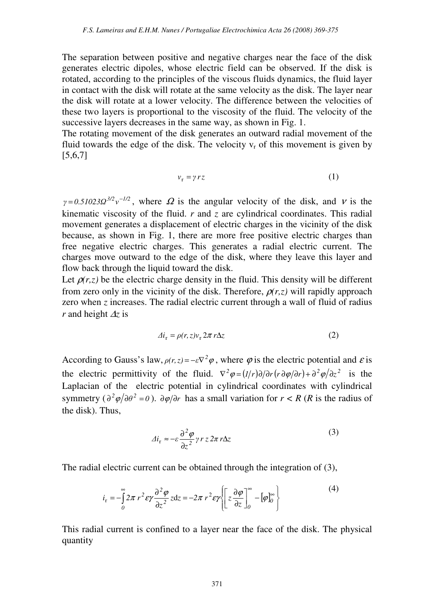The separation between positive and negative charges near the face of the disk generates electric dipoles, whose electric field can be observed. If the disk is rotated, according to the principles of the viscous fluids dynamics, the fluid layer in contact with the disk will rotate at the same velocity as the disk. The layer near the disk will rotate at a lower velocity. The difference between the velocities of these two layers is proportional to the viscosity of the fluid. The velocity of the successive layers decreases in the same way, as shown in Fig. 1.

The rotating movement of the disk generates an outward radial movement of the fluid towards the edge of the disk. The velocity  $v_r$  of this movement is given by [5,6,7]

$$
v_r = \gamma r z \tag{1}
$$

 $\gamma = 0.51023 \Omega^{3/2} v^{-1/2}$ , where  $\Omega$  is the angular velocity of the disk, and v is the kinematic viscosity of the fluid. *r* and *z* are cylindrical coordinates. This radial movement generates a displacement of electric charges in the vicinity of the disk because, as shown in Fig. 1, there are more free positive electric charges than free negative electric charges. This generates a radial electric current. The charges move outward to the edge of the disk, where they leave this layer and flow back through the liquid toward the disk.

Let  $\rho(r, z)$  be the electric charge density in the fluid. This density will be different from zero only in the vicinity of the disk. Therefore,  $\rho(r,z)$  will rapidly approach zero when *z* increases. The radial electric current through a wall of fluid of radius *r* and height ∆*z* is

$$
\Delta i_{\rm r} = \rho(r, z)v_{\rm r} 2\pi r \Delta z \tag{2}
$$

According to Gauss's law,  $\rho(r, z) = -\varepsilon \nabla^2 \varphi$ , where  $\varphi$  is the electric potential and  $\varepsilon$  is the electric permittivity of the fluid.  $\nabla^2 \varphi = (1/r) \partial / \partial r (r \partial \varphi / \partial r) + \partial^2 \varphi / \partial z^2$  is the Laplacian of the electric potential in cylindrical coordinates with cylindrical symmetry ( $\partial^2 \varphi / \partial \theta^2 = 0$ ).  $\partial \varphi / \partial r$  has a small variation for  $r < R$  (*R* is the radius of the disk). Thus,

$$
\Delta i_{\rm r} \approx -\varepsilon \frac{\partial^2 \varphi}{\partial z^2} \gamma r z 2\pi r \Delta z \tag{3}
$$

The radial electric current can be obtained through the integration of (3),

$$
i_{\rm r} = -\int_{0}^{\infty} 2\pi \ r^{2} \epsilon \gamma \frac{\partial^{2} \varphi}{\partial z^{2}} z \, dz = -2\pi \ r^{2} \epsilon \gamma \Biggl\{ \Biggl[ z \frac{\partial \varphi}{\partial z} \Biggr]_{0}^{\infty} - [\varphi]_{0}^{\infty} \Biggr\} \tag{4}
$$

This radial current is confined to a layer near the face of the disk. The physical quantity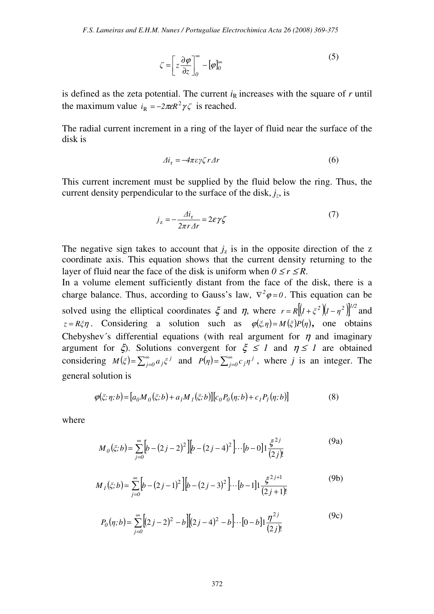$$
\zeta = \left[ z \frac{\partial \varphi}{\partial z} \right]_0^{\infty} - [\varphi]_0^{\infty} \tag{5}
$$

is defined as the zeta potential. The current  $i<sub>R</sub>$  increases with the square of  $r$  until the maximum value  $i_R = -2\pi \epsilon R^2 \gamma \zeta$  is reached.

The radial current increment in a ring of the layer of fluid near the surface of the disk is

$$
\Delta i_{\rm r} = -4\pi\varepsilon\gamma\zeta r\Delta r\tag{6}
$$

This current increment must be supplied by the fluid below the ring. Thus, the current density perpendicular to the surface of the disk,  $j_z$ , is

$$
j_z = -\frac{\Delta i_r}{2\pi r \Delta r} = 2\varepsilon \gamma \zeta \tag{7}
$$

The negative sign takes to account that  $j_z$  is in the opposite direction of the z coordinate axis. This equation shows that the current density returning to the layer of fluid near the face of the disk is uniform when  $0 \le r \le R$ .

In a volume element sufficiently distant from the face of the disk, there is a charge balance. Thus, according to Gauss's law,  $\nabla^2 \varphi = 0$ . This equation can be solved using the elliptical coordinates  $\xi$  and  $\eta$ , where  $r = R[(1 + \xi^2)(1 - \eta^2)]^{1/2}$  and *z* = *Rξη*. Considering a solution such as  $\varphi(\xi, \eta) = M(\xi)P(\eta)$ , one obtains Chebyshev's differential equations (with real argument for  $\eta$  and imaginary argument for  $\xi$ ). Solutions convergent for  $\xi \leq 1$  and  $\eta \leq 1$  are obtained considering  $M(\xi) = \sum_{j=0}^{\infty} a_j \xi^j$  $=\sum_{j=0}^{\infty} a_j \xi^j$  and  $P(\eta) = \sum_{j=0}^{\infty} a_j$  $P(\eta) = \sum_{j=0}^{\infty} c_j \eta^j$ , where *j* is an integer. The general solution is

$$
\varphi(\xi;\eta;b) = [a_0 M_0(\xi;b) + a_1 M_1(\xi;b)][c_0 P_0(\eta;b) + c_1 P_1(\eta;b)]
$$
\n(8)

where

$$
M_0(\xi; b) = \sum_{j=0}^{\infty} \left[ b - (2j - 2)^2 \right] \left[ b - (2j - 4)^2 \right] \cdots \left[ b - 0 \right] \left[ \frac{\xi^{2j}}{(2j)!} \right] \tag{9a}
$$

$$
M_{1}(\xi;b) = \sum_{j=0}^{\infty} \left[ b - (2j-1)^{2} \right] \left[ b - (2j-3)^{2} \right] \cdots \left[ b-1 \right] \left[ \frac{\xi^{2j+1}}{(2j+1)!} \right] \tag{9b}
$$

$$
P_0(\eta; b) = \sum_{j=0}^{\infty} \left[ (2j-2)^2 - b \right] \left[ (2j-4)^2 - b \right] \cdots \left[ 0 - b \right] \left[ \frac{\eta^{2j}}{(2j)!} \right] \tag{9c}
$$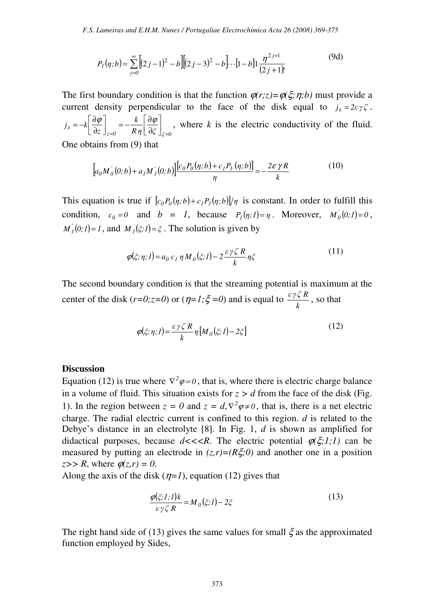$$
P_1(\eta; b) = \sum_{j=0}^{\infty} [(2j-1)^2 - b] [(2j-3)^2 - b] \cdots [1-b] 1 \frac{\eta^{2j+1}}{(2j+1)!}
$$
(9d)

The first boundary condition is that the function  $\varphi(r;z) = \varphi(\xi;\eta;b)$  must provide a current density perpendicular to the face of the disk equal to  $j_z = 2\varepsilon \gamma \zeta$ .  $\int_{\zeta=0}^{\zeta=0} R\,\eta\,[\,\partial\zeta\,]\bigr|_{\zeta=0}$ *k z*  $j_z = -k$  $=0$   $\Lambda$   $\eta \lfloor v_{\varsigma} \rfloor_{\zeta=0}$  $\rfloor$ 1 l Г ∂  $\int_{z=0} = -\frac{k}{R\eta} \left| \frac{\partial}{\partial z} \right|$ 1 l Г ∂  $=-k\left|\frac{\partial \varphi}{\partial x}\right| = -\frac{k}{R}\left|\frac{\partial \varphi}{\partial x}\right|$  $\left| \begin{array}{cc} \frac{\partial \varphi}{\partial z} \end{array} \right| = -\frac{k}{R} \left| \begin{array}{cc} \frac{\partial \varphi}{\partial \tilde{z}} \end{array} \right|$ , where k is the electric conductivity of the fluid.

One obtains from (9) that

$$
\[a_0 M'_0(0;b) + a_1 M'_1(0;b)\]\frac{[c_0 P_0(\eta;b) + c_1 P_1(\eta;b)]}{\eta} = -\frac{2\varepsilon \gamma R}{k} \tag{10}
$$

This equation is true if  $[c_0 P_0(\eta;b) + c_1 P_1(\eta;b)]/\eta$  is constant. In order to fulfill this condition,  $c_0 = 0$  and  $b = 1$ , because  $P_l(\eta; l) = \eta$ . Moreover,  $M_0(0; l) = 0$ ,  $M_I^{\prime}(0,1) = I$ , and  $M_I(\xi,1) = \xi$ . The solution is given by

$$
\varphi(\xi;\eta;I) = a_0 c_I \eta M_0(\xi;I) - 2 \frac{\varepsilon \gamma \zeta R}{k} \eta \xi \tag{11}
$$

The second boundary condition is that the streaming potential is maximum at the center of the disk  $(r=0; z=0)$  or  $(\eta=1; \xi=0)$  and is equal to *k*  $\frac{\varepsilon \gamma \zeta R}{l}$ , so that

$$
\varphi(\xi;\eta;I) = \frac{\varepsilon \gamma \zeta R}{k} \eta \left[ M_0(\xi;I) - 2\xi \right]
$$
\n(12)

### **Discussion**

Equation (12) is true where  $\nabla^2 \varphi = 0$ , that is, where there is electric charge balance in a volume of fluid. This situation exists for  $z > d$  from the face of the disk (Fig. 1). In the region between  $z = 0$  and  $z = d$ ,  $\nabla^2 \varphi \neq 0$ , that is, there is a net electric charge. The radial electric current is confined to this region. *d* is related to the Debye's distance in an electrolyte [8]. In Fig. 1, *d* is shown as amplified for didactical purposes, because  $d \ll \ll R$ . The electric potential  $\varphi(\xi;1;1)$  can be measured by putting an electrode in  $(z, r) = (R\xi, 0)$  and another one in a position  $z>> R$ , where  $\varphi(z,r)=0$ .

Along the axis of the disk  $(\eta=1)$ , equation (12) gives that

$$
\frac{\varphi(\xi;1;1)k}{\varepsilon \gamma \zeta R} = M_0(\xi;1) - 2\xi
$$
\n(13)

The right hand side of (13) gives the same values for small  $\xi$  as the approximated function employed by Sides,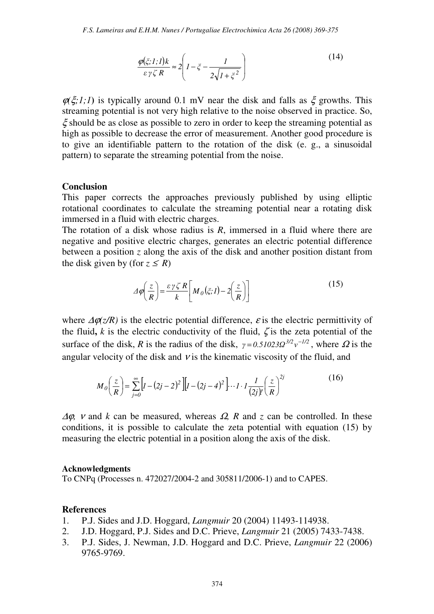$$
\frac{\varphi(\xi;1;1)k}{\varepsilon\gamma\zeta R} \approx 2\left(1 - \xi - \frac{1}{2\sqrt{1 + \xi^2}}\right)
$$
(14)

 $\varphi(\xi;1;1)$  is typically around 0.1 mV near the disk and falls as  $\xi$  growths. This streaming potential is not very high relative to the noise observed in practice. So,  $\xi$  should be as close as possible to zero in order to keep the streaming potential as high as possible to decrease the error of measurement. Another good procedure is to give an identifiable pattern to the rotation of the disk (e. g., a sinusoidal pattern) to separate the streaming potential from the noise.

### **Conclusion**

This paper corrects the approaches previously published by using elliptic rotational coordinates to calculate the streaming potential near a rotating disk immersed in a fluid with electric charges.

The rotation of a disk whose radius is *R*, immersed in a fluid where there are negative and positive electric charges, generates an electric potential difference between a position *z* along the axis of the disk and another position distant from the disk given by (for  $z \leq R$ )

$$
\Delta \varphi \left( \frac{z}{R} \right) = \frac{\varepsilon \gamma \zeta R}{k} \left[ M_0(\zeta; I) - 2 \left( \frac{z}{R} \right) \right]
$$
(15)

where  $\Delta \varphi(z/R)$  is the electric potential difference,  $\varepsilon$  is the electric permittivity of the fluid,  $k$  is the electric conductivity of the fluid,  $\zeta$  is the zeta potential of the surface of the disk, *R* is the radius of the disk,  $\gamma = 0.51023 \Omega^{3/2} v^{-1/2}$ , where  $\Omega$  is the angular velocity of the disk and  $\nu$  is the kinematic viscosity of the fluid, and

$$
M_0\left(\frac{z}{R}\right) = \sum_{j=0}^{\infty} \left[ I - (2j - 2)^2 \right] \left[ I - (2j - 4)^2 \right] \cdots I \cdot I \frac{1}{(2j)!} \left(\frac{z}{R}\right)^{2j} \tag{16}
$$

 $\Delta\varphi$ , *v* and *k* can be measured, whereas  $\Omega$ , *R* and *z* can be controlled. In these conditions, it is possible to calculate the zeta potential with equation (15) by measuring the electric potential in a position along the axis of the disk.

#### **Acknowledgments**

To CNPq (Processes n. 472027/2004-2 and 305811/2006-1) and to CAPES.

### **References**

- 1. P.J. Sides and J.D. Hoggard, *Langmuir* 20 (2004) 11493-114938.
- 2. J.D. Hoggard, P.J. Sides and D.C. Prieve, *Langmuir* 21 (2005) 7433-7438.
- 3. P.J. Sides, J. Newman, J.D. Hoggard and D.C. Prieve, *Langmuir* 22 (2006) 9765-9769.